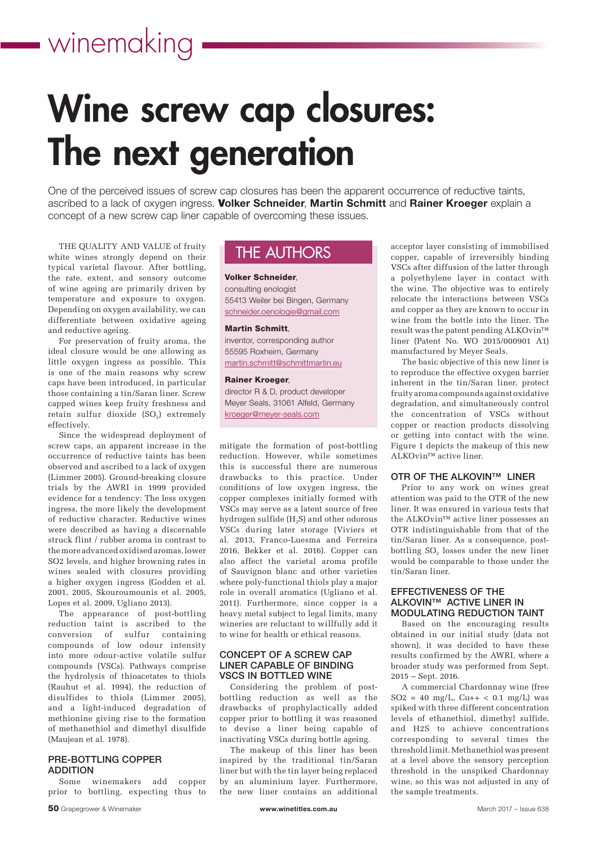# Wine screw cap closures: The next generation

One of the perceived issues of screw cap closures has been the apparent occurrence of reductive taints, ascribed to a lack of oxygen ingress. Volker Schneider, Martin Schmitt and Rainer Kroeger explain a concept of a new screw cap liner capable of overcoming these issues.

THE QUALITY AND VALUE of fruity white wines strongly depend on their typical varietal flavour. After bottling, the rate, extent, and sensory outcome of wine ageing are primarily driven by temperature and exposure to oxygen. Depending on oxygen availability, we can differentiate between oxidative ageing and reductive ageing.

For preservation of fruity aroma, the ideal closure would be one allowing as little oxygen ingress as possible. This is one of the main reasons why screw caps have been introduced, in particular those containing a tin/Saran liner. Screw capped wines keep fruity freshness and  $\text{retain}$  sulfur dioxide (SO $_2$ ) extremely effectively.

Since the widespread deployment of screw caps, an apparent increase in the occurrence of reductive taints has been observed and ascribed to a lack of oxygen (Limmer 2005). Ground-breaking closure trials by the AWRI in 1999 provided evidence for a tendency: The less oxygen ingress, the more likely the development of reductive character. Reductive wines were described as having a discernable struck flint / rubber aroma in contrast to the more advanced oxidised aromas, lower SO2 levels, and higher browning rates in wines sealed with closures providing a higher oxygen ingress (Godden et al. 2001, 2005, Skouroumounis et al. 2005, Lopes et al. 2009, Ugliano 2013).

The appearance of post-bottling reduction taint is ascribed to the conversion of sulfur containing compounds of low odour intensity into more odour-active volatile sulfur compounds (VSCs). Pathways comprise the hydrolysis of thioacetates to thiols (Rauhut et al. 1994), the reduction of disulfides to thiols (Limmer 2005), and a light-induced degradation of methionine giving rise to the formation of methanethiol and dimethyl disulfide (Maujean et al. 1978).

## PRE-BOTTLING COPPER ADDITION

Some winemakers add copper prior to bottling, expecting thus to

## THE AUTHORS

Volker Schneider,

consulting enologist 55413 Weiler bei Bingen, Germany schneider.oenologie@gmail.com

#### Martin Schmitt,

inventor, corresponding author 55595 Roxheim, Germany martin.schmitt@schmittmartin.eu

#### Rainer Kroeger,

director R & D, product developer Meyer Seals, 31061 Alfeld, Germany kroeger@meyer-seals.com

mitigate the formation of post-bottling reduction. However, while sometimes this is successful there are numerous drawbacks to this practice. Under conditions of low oxygen ingress, the copper complexes initially formed with VSCs may serve as a latent source of free hydrogen sulfide (H<sub>2</sub>S) and other odorous VSCs during later storage (Viviers et al. 2013, Franco-Luesma and Ferreira 2016, Bekker et al. 2016). Copper can also affect the varietal aroma profile of Sauvignon blanc and other varieties where poly-functional thiols play a major role in overall aromatics (Ugliano et al. 2011). Furthermore, since copper is a heavy metal subject to legal limits, many wineries are reluctant to willfully add it to wine for health or ethical reasons.

### CONCEPT OF A SCREW CAP LINER CAPABLE OF BINDING VSCS IN BOTTLED WINE

Considering the problem of postbottling reduction as well as the drawbacks of prophylactically added copper prior to bottling it was reasoned to devise a liner being capable of inactivating VSCs during bottle ageing.

The makeup of this liner has been inspired by the traditional tin/Saran liner but with the tin layer being replaced by an aluminium layer. Furthermore, the new liner contains an additional

acceptor layer consisting of immobilised copper, capable of irreversibly binding VSCs after diffusion of the latter through a polyethylene layer in contact with the wine. The objective was to entirely relocate the interactions between VSCs and copper as they are known to occur in wine from the bottle into the liner. The result was the patent pending ALKOvin™ liner (Patent No. WO 2015/000901 A1) manufactured by Meyer Seals.

The basic objective of this new liner is to reproduce the effective oxygen barrier inherent in the tin/Saran liner, protect fruity aroma compounds against oxidative degradation, and simultaneously control the concentration of VSCs without copper or reaction products dissolving or getting into contact with the wine. Figure 1 depicts the makeup of this new ALKOvin™ active liner.

## OTR OF THE ALKOVIN™ LINER

Prior to any work on wines great attention was paid to the OTR of the new liner. It was ensured in various tests that the ALKOvin™ active liner possesses an OTR indistinguishable from that of the tin/Saran liner. As a consequence, postbottling  $SO_2$  losses under the new liner would be comparable to those under the tin/Saran liner.

## EFFECTIVENESS OF THE ALKOVIN™ ACTIVE LINER IN MODULATING REDUCTION TAINT

Based on the encouraging results obtained in our initial study (data not shown), it was decided to have these results confirmed by the AWRI, where a broader study was performed from Sept. 2015 – Sept. 2016.

A commercial Chardonnay wine (free  $SO2 = 40$  mg/L,  $Cu++ < 0.1$  mg/L) was spiked with three different concentration levels of ethanethiol, dimethyl sulfide, and H2S to achieve concentrations corresponding to several times the threshold limit. Methanethiol was present at a level above the sensory perception threshold in the unspiked Chardonnay wine, so this was not adjusted in any of the sample treatments.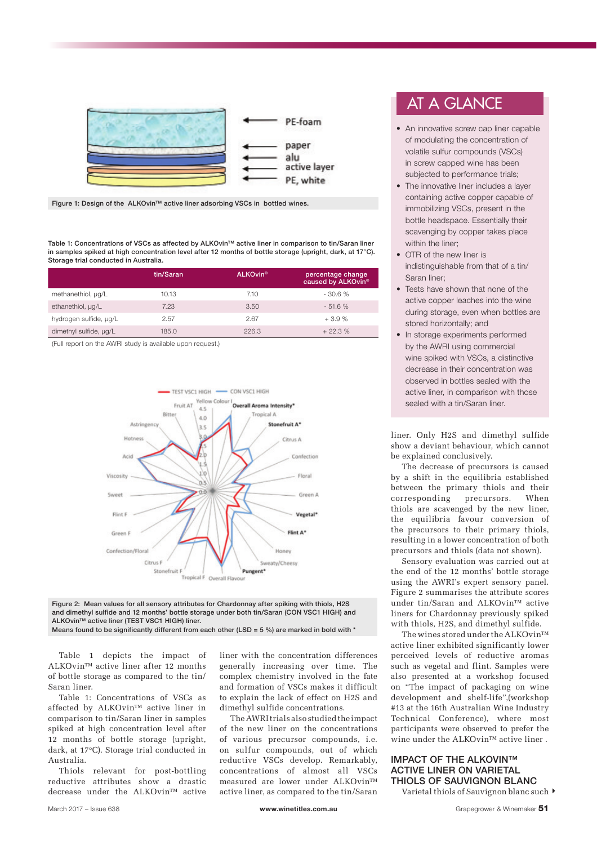

Figure 1: Design of the ALKOvin™ active liner adsorbing VSCs in bottled wines.

Table 1: Concentrations of VSCs as affected by ALKOvin™ active liner in comparison to tin/Saran liner in samples spiked at high concentration level after 12 months of bottle storage (upright, dark, at 17<sup>°</sup>C). Storage trial conducted in Australia.

|                        | tin/Saran | <b>ALKOvin<sup>®</sup></b> | percentage change<br>caused by ALKOvin® |
|------------------------|-----------|----------------------------|-----------------------------------------|
| methanethiol, µg/L     | 10.13     | 7.10                       | $-30.6%$                                |
| ethanethiol, µq/L      | 7.23      | 3.50                       | $-51.6%$                                |
| hydrogen sulfide, µg/L | 2.57      | 2.67                       | $+3.9%$                                 |
| dimethyl sulfide, µg/L | 185.0     | 226.3                      | $+22.3%$                                |

(Full report on the AWRI study is available upon request.)



Figure 2: Mean values for all sensory attributes for Chardonnay after spiking with thiols, H2S and dimethyl sulfide and 12 months' bottle storage under both tin/Saran (CON VSC1 HIGH) and ALKOvin™ active liner (TEST VSC1 HIGH) liner. Means found to be significantly different from each other (LSD =  $5\%$ ) are marked in bold with \*

Table 1 depicts the impact of ALKOvin™ active liner after 12 months of bottle storage as compared to the tin/ Saran liner.

Table 1: Concentrations of VSCs as affected by ALKOvin™ active liner in comparison to tin/Saran liner in samples spiked at high concentration level after 12 months of bottle storage (upright, dark, at 17°C). Storage trial conducted in Australia.

Thiols relevant for post-bottling reductive attributes show a drastic decrease under the ALKOvin™ active liner with the concentration differences generally increasing over time. The complex chemistry involved in the fate and formation of VSCs makes it difficult to explain the lack of effect on H2S and dimethyl sulfide concentrations.

The AWRI trials also studied the impact of the new liner on the concentrations of various precursor compounds, i.e. on sulfur compounds, out of which reductive VSCs develop. Remarkably, concentrations of almost all VSCs measured are lower under ALKOvin™ active liner, as compared to the tin/Saran

## AT A GLANCE

- An innovative screw cap liner capable of modulating the concentration of volatile sulfur compounds (VSCs) in screw capped wine has been subjected to performance trials;
- The innovative liner includes a layer containing active copper capable of immobilizing VSCs, present in the bottle headspace. Essentially their scavenging by copper takes place within the liner:
- OTR of the new liner is indistinguishable from that of a tin/ Saran liner;
- Tests have shown that none of the active copper leaches into the wine during storage, even when bottles are stored horizontally; and
- In storage experiments performed by the AWRI using commercial wine spiked with VSCs, a distinctive decrease in their concentration was observed in bottles sealed with the active liner, in comparison with those sealed with a tin/Saran liner.

liner. Only H2S and dimethyl sulfide show a deviant behaviour, which cannot be explained conclusively.

The decrease of precursors is caused by a shift in the equilibria established between the primary thiols and their corresponding precursors. When thiols are scavenged by the new liner, the equilibria favour conversion of the precursors to their primary thiols, resulting in a lower concentration of both precursors and thiols (data not shown).

Sensory evaluation was carried out at the end of the 12 months' bottle storage using the AWRI's expert sensory panel. Figure 2 summarises the attribute scores under tin/Saran and ALKOvin™ active liners for Chardonnay previously spiked with thiols, H2S, and dimethyl sulfide.

The wines stored under the ALKOvin™ active liner exhibited significantly lower perceived levels of reductive aromas such as vegetal and flint. Samples were also presented at a workshop focused on "The impact of packaging on wine development and shelf-life",(workshop #13 at the 16th Australian Wine Industry Technical Conference), where most participants were observed to prefer the wine under the ALKOvin™ active liner .

## IMPACT OF THE ALKOVIN™ ACTIVE LINER ON VARIETAL THIOLS OF SAUVIGNON BLANC

Varietal thiols of Sauvignon blanc such